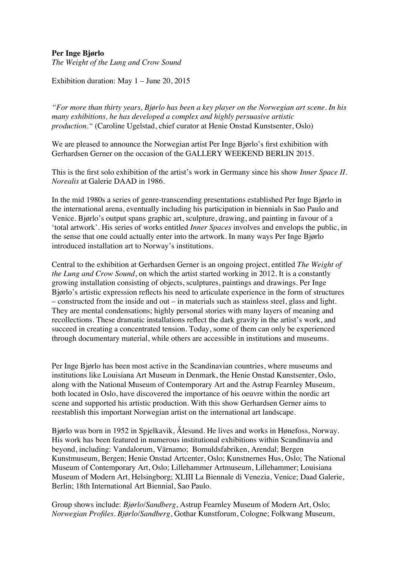## **Per Inge Bjørlo**

*The Weight of the Lung and Crow Sound*

Exhibition duration: May 1 – June 20, 2015

*"For more than thirty years, Bjørlo has been a key player on the Norwegian art scene. In his many exhibitions, he has developed a complex and highly persuasive artistic production."* (Caroline Ugelstad, chief curator at Henie Onstad Kunstsenter, Oslo)

We are pleased to announce the Norwegian artist Per Inge Bjørlo's first exhibition with Gerhardsen Gerner on the occasion of the GALLERY WEEKEND BERLIN 2015.

This is the first solo exhibition of the artist's work in Germany since his show *Inner Space II. Norealis* at Galerie DAAD in 1986.

In the mid 1980s a series of genre-transcending presentations established Per Inge Bjørlo in the international arena, eventually including his participation in biennials in Sao Paulo and Venice. Bjørlo's output spans graphic art, sculpture, drawing, and painting in favour of a 'total artwork'. His series of works entitled *Inner Spaces* involves and envelops the public, in the sense that one could actually enter into the artwork. In many ways Per Inge Bjørlo introduced installation art to Norway's institutions.

Central to the exhibition at Gerhardsen Gerner is an ongoing project, entitled *The Weight of the Lung and Crow Sound*, on which the artist started working in 2012. It is a constantly growing installation consisting of objects, sculptures, paintings and drawings. Per Inge Bjørlo's artistic expression reflects his need to articulate experience in the form of structures – constructed from the inside and out – in materials such as stainless steel, glass and light. They are mental condensations; highly personal stories with many layers of meaning and recollections. These dramatic installations reflect the dark gravity in the artist's work, and succeed in creating a concentrated tension. Today, some of them can only be experienced through documentary material, while others are accessible in institutions and museums.

Per Inge Bjørlo has been most active in the Scandinavian countries, where museums and institutions like Louisiana Art Museum in Denmark, the Henie Onstad Kunstsenter, Oslo, along with the National Museum of Contemporary Art and the Astrup Fearnley Museum, both located in Oslo, have discovered the importance of his oeuvre within the nordic art scene and supported his artistic production. With this show Gerhardsen Gerner aims to reestablish this important Norwegian artist on the international art landscape.

Bjørlo was born in 1952 in Spjelkavik, Ålesund. He lives and works in Hønefoss, Norway. His work has been featured in numerous institutional exhibitions within Scandinavia and beyond, including: Vandalorum, Värnamo; Bomuldsfabriken, Arendal; Bergen Kunstmuseum, Bergen; Henie Onstad Artcenter, Oslo; Kunstnernes Hus, Oslo; The National Museum of Contemporary Art, Oslo; Lillehammer Artmuseum, Lillehammer; Louisiana Museum of Modern Art, Helsingborg; XLIII La Biennale di Venezia, Venice; Daad Galerie, Berlin; 18th International Art Biennial, Sao Paulo.

Group shows include: *Bjørlo/Sandberg*, Astrup Fearnley Museum of Modern Art, Oslo; *Norwegian Profiles. Bjørlo/Sandberg*, Gothar Kunstforum, Cologne; Folkwang Museum,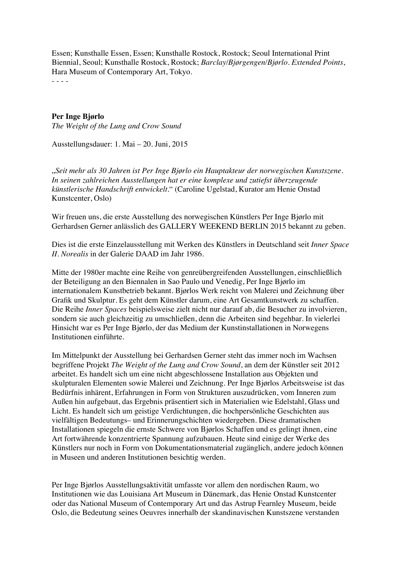Essen; Kunsthalle Essen, Essen; Kunsthalle Rostock, Rostock; Seoul International Print Biennial, Seoul; Kunsthalle Rostock, Rostock; *Barclay/Bjørgengen/Bjørlo. Extended Points*, Hara Museum of Contemporary Art, Tokyo.

- - - -

## **Per Inge Bjørlo**

*The Weight of the Lung and Crow Sound*

Ausstellungsdauer: 1. Mai – 20. Juni, 2015

"*Seit mehr als 30 Jahren ist Per Inge Bjørlo ein Hauptakteur der norwegischen Kunstszene. In seinen zahlreichen Ausstellungen hat er eine komplexe und zutiefst überzeugende künstlerische Handschrift entwickelt*." (Caroline Ugelstad, Kurator am Henie Onstad Kunstcenter, Oslo)

Wir freuen uns, die erste Ausstellung des norwegischen Künstlers Per Inge Bjørlo mit Gerhardsen Gerner anlässlich des GALLERY WEEKEND BERLIN 2015 bekannt zu geben.

Dies ist die erste Einzelausstellung mit Werken des Künstlers in Deutschland seit *Inner Space II. Norealis* in der Galerie DAAD im Jahr 1986.

Mitte der 1980er machte eine Reihe von genreübergreifenden Ausstellungen, einschließlich der Beteiligung an den Biennalen in Sao Paulo und Venedig, Per Inge Bjørlo im internationalem Kunstbetrieb bekannt. Bjørlos Werk reicht von Malerei und Zeichnung über Grafik und Skulptur. Es geht dem Künstler darum, eine Art Gesamtkunstwerk zu schaffen. Die Reihe *Inner Spaces* beispielsweise zielt nicht nur darauf ab, die Besucher zu involvieren, sondern sie auch gleichzeitig zu umschließen, denn die Arbeiten sind begehbar. In vielerlei Hinsicht war es Per Inge Bjørlo, der das Medium der Kunstinstallationen in Norwegens Institutionen einführte.

Im Mittelpunkt der Ausstellung bei Gerhardsen Gerner steht das immer noch im Wachsen begriffene Projekt *The Weight of the Lung and Crow Sound*, an dem der Künstler seit 2012 arbeitet. Es handelt sich um eine nicht abgeschlossene Installation aus Objekten und skulpturalen Elementen sowie Malerei und Zeichnung. Per Inge Bjørlos Arbeitsweise ist das Bedürfnis inhärent, Erfahrungen in Form von Strukturen auszudrücken, vom Inneren zum Außen hin aufgebaut, das Ergebnis präsentiert sich in Materialien wie Edelstahl, Glass und Licht. Es handelt sich um geistige Verdichtungen, die hochpersönliche Geschichten aus vielfältigen Bedeutungs– und Erinnerungschichten wiedergeben. Diese dramatischen Installationen spiegeln die ernste Schwere von Bjørlos Schaffen und es gelingt ihnen, eine Art fortwährende konzentrierte Spannung aufzubauen. Heute sind einige der Werke des Künstlers nur noch in Form von Dokumentationsmaterial zugänglich, andere jedoch können in Museen und anderen Institutionen besichtig werden.

Per Inge Bjørlos Ausstellungsaktivität umfasste vor allem den nordischen Raum, wo Institutionen wie das Louisiana Art Museum in Dänemark, das Henie Onstad Kunstcenter oder das National Museum of Contemporary Art und das Astrup Fearnley Museum, beide Oslo, die Bedeutung seines Oeuvres innerhalb der skandinavischen Kunstszene verstanden